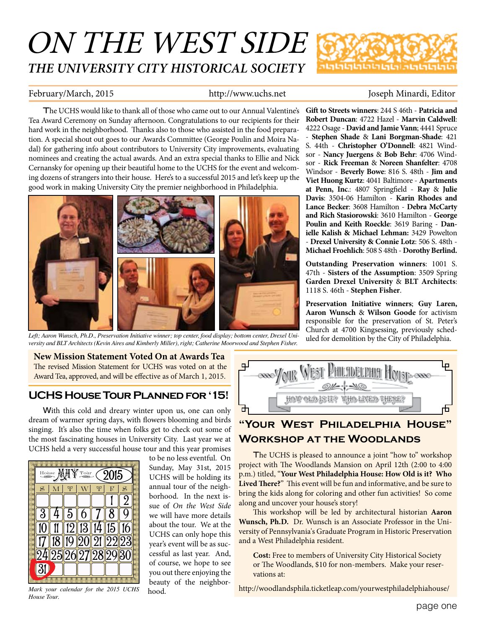# ON THE WEST SIDE *THE UNIVERSITY CITY HISTORICAL SOCIETY*



#### February/March, 2015 http://www.uchs.net Joseph Minardi, Editor

The UCHS would like to thank all of those who came out to our Annual Valentine's Tea Award Ceremony on Sunday afternoon. Congratulations to our recipients for their hard work in the neighborhood. Thanks also to those who assisted in the food preparation. A special shout out goes to our Awards Committee (George Poulin and Moira Nadal) for gathering info about contributors to University City improvements, evaluating nominees and creating the actual awards. And an extra special thanks to Ellie and Nick Cernansky for opening up their beautiful home to the UCHS for the event and welcoming dozens of strangers into their house. Here's to a successful 2015 and let's keep up the good work in making University City the premier neighborhood in Philadelphia.



Left; Aaron Wunsch, Ph.D., Preservation Initiative winner; top center, food display; bottom center, Drexel Uni*versity and BLT Architects (Kevin Aires and Kimberly Miller), right; Catherine Moorwood and Stephen Fisher.*

**Gift to Streets winners**: 244 S 46th - **Patricia and Robert Duncan**: 4722 Hazel - **Marvin Caldwell**: 4222 Osage - **David and Jamie Vann**; 4441 Spruce - **Stephen Shade** & **Lani Borgman-Shade**: 421 S. 44th - **Christopher O'Donnell**: 4821 Windsor - **Nancy Juergens** & **Bob Behr**: 4706 Windsor - **Rick Freeman** & **Noreen Shanfelter**: 4708 Windsor - **Beverly Bowe**: 816 S. 48th - **Jim and Viet Huong Kurtz**: 4041 Baltimore - **Apartments at Penn, Inc**.: 4807 Springfield - **Ray** & **Julie Davis**: 3504-06 Hamilton - **Karin Rhodes and Lance Becker**: 3608 Hamilton - **Debra McCarty and Rich Stasiorowski**: 3610 Hamilton - **George Poulin and Keith Roeckle**: 3619 Baring - **Danielle Kalish & Michael Lehman:** 3429 Powelton - **Drexel University & Connie Lotz**: 506 S. 48th - **Michael Froehlich**: 508 S 48th - **Dorothy Berlind.**

**Outstanding Preservation winners**: 1001 S. 47th - **Sisters of the Assumption**: 3509 Spring **Garden Drexel University** & **BLT Architects**: 1118 S. 46th - **Stephen Fisher**.

**Preservation Initiative winners**; **Guy Laren, Aaron Wunsch** & **Wilson Goode** for activism responsible for the preservation of St. Peter's Church at 4700 Kingsessing, previously sched-

#### **New Mission Statement Voted On at Awards Tea**

The revised Mission Statement for UCHS was voted on at the Award Tea, approved, and will be effective as of March 1, 2015.

### **UCHS House Tour Planned for '15!**

With this cold and dreary winter upon us, one can only dream of warmer spring days, with flowers blooming and birds singing. It's also the time when folks get to check out some of the most fascinating houses in University City. Last year we at UCHS held a very successful house tour and this year promises



*Mark your calendar for the 2015 UCHS House Tour.*

to be no less eventful. On Sunday, May 31st, 2015 UCHS will be holding its annual tour of the neighborhood. In the next issue of *On the West Side* we will have more details about the tour. We at the UCHS can only hope this year's event will be as successful as last year. And, of course, we hope to see you out there enjoying the beauty of the neighborhood.



# **"Your West Philadelphia House" Workshop at the Woodlands**

The UCHS is pleased to announce a joint "how to" workshop project with The Woodlands Mansion on April 12th (2:00 to 4:00 p.m.) titled, "**Your West Philadelphia House: How Old is it? Who Lived There?**" This event will be fun and informative, and be sure to bring the kids along for coloring and other fun activities! So come along and uncover your house's story!

This workshop will be led by architectural historian **Aaron Wunsch, Ph.D.** Dr. Wunsch is an Associate Professor in the University of Pennsylvania's Graduate Program in Historic Preservation and a West Philadelphia resident.

**Cost:** Free to members of University City Historical Society or The Woodlands, \$10 for non-members. Make your reservations at:

http://woodlandsphila.ticketleap.com/yourwestphiladelphiahouse/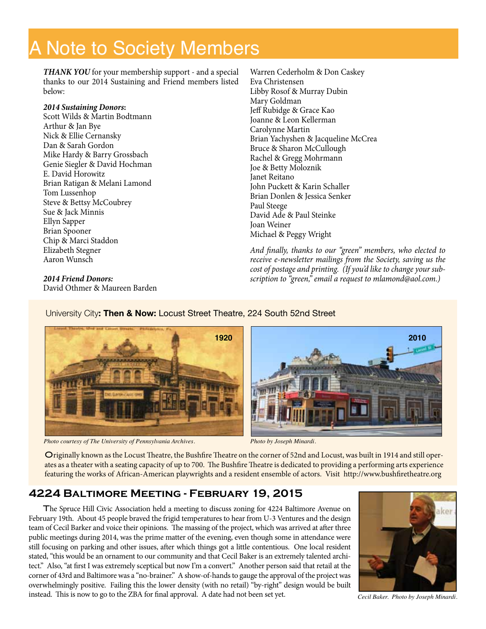# A Note to Society Members

*THANK YOU* for your membership support - and a special thanks to our 2014 Sustaining and Friend members listed below:

#### *2014 Sustaining Donors***:**

Scott Wilds & Martin Bodtmann Arthur & Jan Bye Nick & Ellie Cernansky Dan & Sarah Gordon Mike Hardy & Barry Grossbach Genie Siegler & David Hochman E. David Horowitz Brian Ratigan & Melani Lamond Tom Lussenhop Steve & Bettsy McCoubrey Sue & Jack Minnis Ellyn Sapper Brian Spooner Chip & Marci Staddon Elizabeth Stegner Aaron Wunsch

Warren Cederholm & Don Caskey Eva Christensen Libby Rosof & Murray Dubin Mary Goldman Jeff Rubidge & Grace Kao Joanne & Leon Kellerman Carolynne Martin Brian Yachyshen & Jacqueline McCrea Bruce & Sharon McCullough Rachel & Gregg Mohrmann Joe & Betty Moloznik Janet Reitano John Puckett & Karin Schaller Brian Donlen & Jessica Senker Paul Steege David Ade & Paul Steinke Joan Weiner Michael & Peggy Wright

*And finally, thanks to our "green" members, who elected to receive e-newsletter mailings from the Society, saving us the cost of postage and printing. (If you'd like to change your subscription to "green," email a request to mlamond@aol.com.)*

*2014 Friend Donors:* David Othmer & Maureen Barden



*Photo courtesy of The University of Pennsylvania Archives. Photo by Joseph Minardi.*



Originally known as the Locust Theatre, the Bushfire Theatre on the corner of 52nd and Locust, was built in 1914 and still operates as a theater with a seating capacity of up to 700. The Bushfire Theatre is dedicated to providing a performing arts experience featuring the works of African-American playwrights and a resident ensemble of actors. Visit http://www.bushfiretheatre.org

### **4224 Baltimore Meeting - February 19, 2015**

The Spruce Hill Civic Association held a meeting to discuss zoning for 4224 Baltimore Avenue on February 19th. About 45 people braved the frigid temperatures to hear from U-3 Ventures and the design team of Cecil Barker and voice their opinions. The massing of the project, which was arrived at after three public meetings during 2014, was the prime matter of the evening, even though some in attendance were still focusing on parking and other issues, after which things got a little contentious. One local resident stated, "this would be an ornament to our community and that Cecil Baker is an extremely talented architect." Also, "at first I was extremely sceptical but now I'm a convert." Another person said that retail at the corner of 43rd and Baltimore was a "no-brainer." A show-of-hands to gauge the approval of the project was overwhelmingly positive. Failing this the lower density (with no retail) "by-right" design would be built instead. This is now to go to the ZBA for final approval. A date had not been set yet.



*Cecil Baker. Photo by Joseph Minardi.*

#### University City**: Then & Now:** Locust Street Theatre, 224 South 52nd Street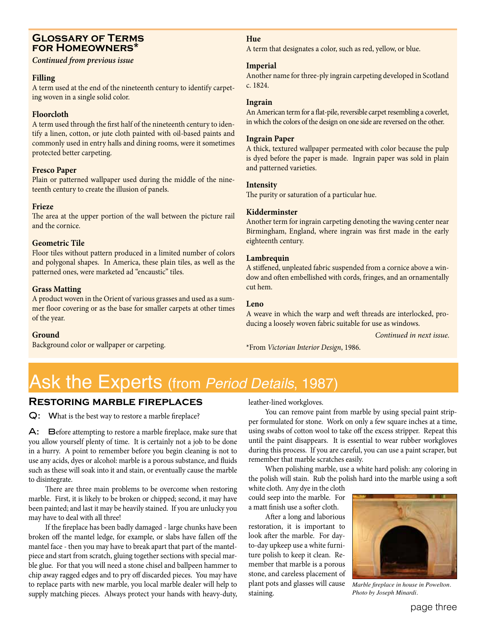### **Glossary of Terms for Homeowners\***

#### *Continued from previous issue*

#### **Filling**

A term used at the end of the nineteenth century to identify carpeting woven in a single solid color.

#### **Floorcloth**

A term used through the first half of the nineteenth century to identify a linen, cotton, or jute cloth painted with oil-based paints and commonly used in entry halls and dining rooms, were it sometimes protected better carpeting.

#### **Fresco Paper**

Plain or patterned wallpaper used during the middle of the nineteenth century to create the illusion of panels.

#### **Frieze**

The area at the upper portion of the wall between the picture rail and the cornice.

#### **Geometric Tile**

Floor tiles without pattern produced in a limited number of colors and polygonal shapes. In America, these plain tiles, as well as the patterned ones, were marketed ad "encaustic" tiles.

#### **Grass Matting**

A product woven in the Orient of various grasses and used as a summer floor covering or as the base for smaller carpets at other times of the year.

#### **Ground**

Background color or wallpaper or carpeting.

**Hue**

A term that designates a color, such as red, yellow, or blue.

#### **Imperial**

Another name for three-ply ingrain carpeting developed in Scotland c. 1824.

#### **Ingrain**

An American term for a flat-pile, reversible carpet resembling a coverlet, in which the colors of the design on one side are reversed on the other.

#### **Ingrain Paper**

A thick, textured wallpaper permeated with color because the pulp is dyed before the paper is made. Ingrain paper was sold in plain and patterned varieties.

#### **Intensity**

The purity or saturation of a particular hue.

#### **Kidderminster**

Another term for ingrain carpeting denoting the waving center near Birmingham, England, where ingrain was first made in the early eighteenth century.

#### **Lambrequin**

A stiffened, unpleated fabric suspended from a cornice above a window and often embellished with cords, fringes, and an ornamentally cut hem.

#### **Leno**

A weave in which the warp and weft threads are interlocked, producing a loosely woven fabric suitable for use as windows.

*Continued in next issue.*

\*From *Victorian Interior Design*, 1986.

# Ask the Experts (from *Period Details*, 1987)

### **Restoring marble fireplaces**

Q: What is the best way to restore a marble fireplace?

A: Before attempting to restore a marble fireplace, make sure that you allow yourself plenty of time. It is certainly not a job to be done in a hurry. A point to remember before you begin cleaning is not to use any acids, dyes or alcohol: marble is a porous substance, and fluids such as these will soak into it and stain, or eventually cause the marble to disintegrate.

There are three main problems to be overcome when restoring marble. First, it is likely to be broken or chipped; second, it may have been painted; and last it may be heavily stained. If you are unlucky you may have to deal with all three!

If the fireplace has been badly damaged - large chunks have been broken off the mantel ledge, for example, or slabs have fallen off the mantel face - then you may have to break apart that part of the mantelpiece and start from scratch, gluing together sections with special marble glue. For that you will need a stone chisel and ballpeen hammer to chip away ragged edges and to pry off discarded pieces. You may have to replace parts with new marble, you local marble dealer will help to supply matching pieces. Always protect your hands with heavy-duty, leather-lined workgloves.

You can remove paint from marble by using special paint stripper formulated for stone. Work on only a few square inches at a time, using swabs of cotton wool to take off the excess stripper. Repeat this until the paint disappears. It is essential to wear rubber workgloves during this process. If you are careful, you can use a paint scraper, but remember that marble scratches easily.

When polishing marble, use a white hard polish: any coloring in the polish will stain. Rub the polish hard into the marble using a soft

white cloth. Any dye in the cloth could seep into the marble. For a matt finish use a softer cloth.

After a long and laborious restoration, it is important to look after the marble. For dayto-day upkeep use a white furniture polish to keep it clean. Remember that marble is a porous stone, and careless placement of plant pots and glasses will cause staining.



*Marble fireplace in house in Powelton. Photo by Joseph Minardi.*